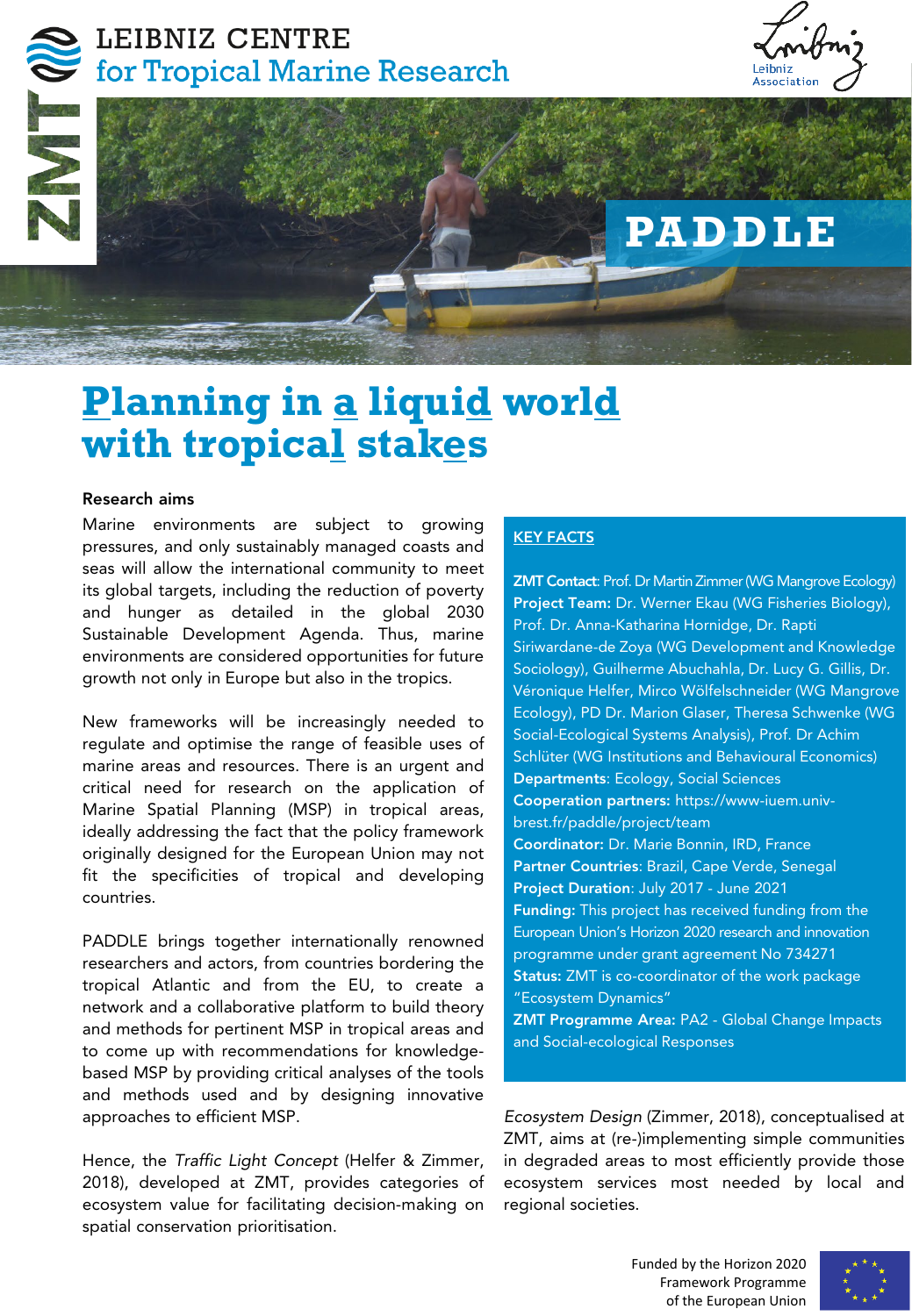## LEIBNIZ CENTRE for Tropical Marine Research





# **Planning in a liquid world with tropical stakes**

#### Research aims

Marine environments are subject to growing pressures, and only sustainably managed coasts and seas will allow the international community to meet its global targets, including the reduction of poverty and hunger as detailed in the global 2030 Sustainable Development Agenda. Thus, marine environments are considered opportunities for future growth not only in Europe but also in the tropics.

New frameworks will be increasingly needed to regulate and optimise the range of feasible uses of marine areas and resources. There is an urgent and critical need for research on the application of Marine Spatial Planning (MSP) in tropical areas, ideally addressing the fact that the policy framework originally designed for the European Union may not fit the specificities of tropical and developing countries.

PADDLE brings together internationally renowned researchers and actors, from countries bordering the tropical Atlantic and from the EU, to create a network and a collaborative platform to build theory and methods for pertinent MSP in tropical areas and to come up with recommendations for knowledgebased MSP by providing critical analyses of the tools and methods used and by designing innovative approaches to efficient MSP.

Hence, the *Traffic Light Concept* (Helfer & Zimmer, 2018), developed at ZMT, provides categories of ecosystem value for facilitating decision-making on spatial conservation prioritisation.

### KEY FACTS

ZMT Contact: Prof. Dr Martin Zimmer (WG Mangrove Ecology) Project Team: Dr. Werner Ekau (WG Fisheries Biology), Prof. Dr. Anna-Katharina Hornidge, Dr. Rapti Siriwardane-de Zoya (WG Development and Knowledge Sociology), Guilherme Abuchahla, Dr. Lucy G. Gillis, Dr. Véronique Helfer, Mirco Wölfelschneider (WG Mangrove Ecology), PD Dr. Marion Glaser, Theresa Schwenke (WG Social-Ecological Systems Analysis), Prof. Dr Achim Schlüter (WG Institutions and Behavioural Economics) Departments: Ecology, Social Sciences Cooperation partners: https://www-iuem.univbrest.fr/paddle/project/team Coordinator: Dr. Marie Bonnin, IRD, France Partner Countries: Brazil, Cape Verde, Senegal Project Duration: July 2017 - June 2021 Funding: This project has received funding from the European Union's Horizon 2020 research and innovation programme under grant agreement No 734271 Status: ZMT is co-coordinator of the work package "Ecosystem Dynamics" ZMT Programme Area: PA2 - Global Change Impacts

and Social-ecological Responses

*Ecosystem Design* (Zimmer, 2018), conceptualised at ZMT, aims at (re-)implementing simple communities in degraded areas to most efficiently provide those ecosystem services most needed by local and regional societies.